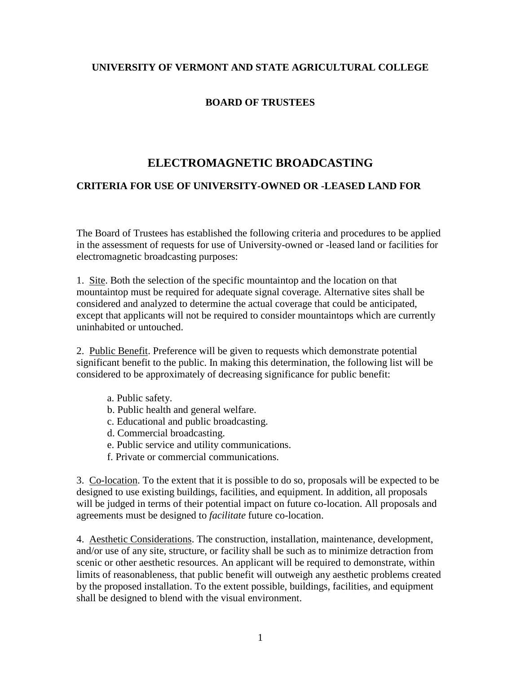## **UNIVERSITY OF VERMONT AND STATE AGRICULTURAL COLLEGE**

## **BOARD OF TRUSTEES**

## **ELECTROMAGNETIC BROADCASTING**

## **CRITERIA FOR USE OF UNIVERSITY-OWNED OR -LEASED LAND FOR**

The Board of Trustees has established the following criteria and procedures to be applied in the assessment of requests for use of University-owned or -leased land or facilities for electromagnetic broadcasting purposes:

1. Site. Both the selection of the specific mountaintop and the location on that mountaintop must be required for adequate signal coverage. Alternative sites shall be considered and analyzed to determine the actual coverage that could be anticipated, except that applicants will not be required to consider mountaintops which are currently uninhabited or untouched.

2. Public Benefit. Preference will be given to requests which demonstrate potential significant benefit to the public. In making this determination, the following list will be considered to be approximately of decreasing significance for public benefit:

- a. Public safety.
- b. Public health and general welfare.
- c. Educational and public broadcasting.
- d. Commercial broadcasting.
- e. Public service and utility communications.
- f. Private or commercial communications.

3. Co-location. To the extent that it is possible to do so, proposals will be expected to be designed to use existing buildings, facilities, and equipment. In addition, all proposals will be judged in terms of their potential impact on future co-location. All proposals and agreements must be designed to *facilitate* future co-location.

4. Aesthetic Considerations. The construction, installation, maintenance, development, and/or use of any site, structure, or facility shall be such as to minimize detraction from scenic or other aesthetic resources. An applicant will be required to demonstrate, within limits of reasonableness, that public benefit will outweigh any aesthetic problems created by the proposed installation. To the extent possible, buildings, facilities, and equipment shall be designed to blend with the visual environment.